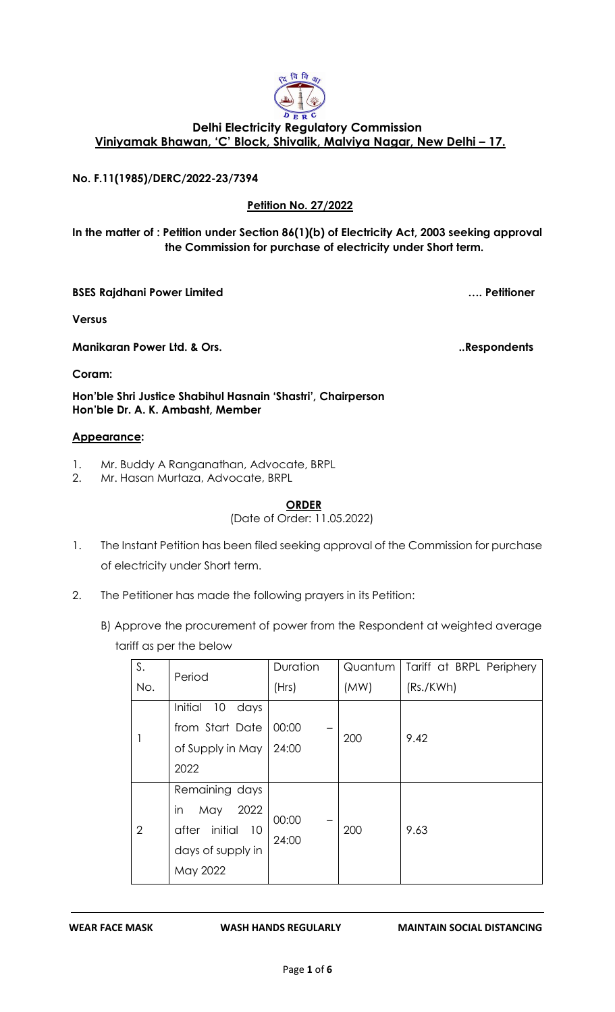

# **Delhi Electricity Regulatory Commission Viniyamak Bhawan, 'C' Block, Shivalik, Malviya Nagar, New Delhi – 17.**

### **No. F.11(1985)/DERC/2022-23/7394**

### **Petition No. 27/2022**

### **In the matter of : Petition under Section 86(1)(b) of Electricity Act, 2003 seeking approval the Commission for purchase of electricity under Short term.**

**BSES Rajdhani Power Limited …. Petitioner**

**Versus**

**Coram:** 

**Manikaran Power Ltd. & Ors.** Notice that the set of the set of the set of the set of the set of the set of the set of the set of the set of the set of the set of the set of the set of the set of the set of the set of the

**Hon'ble Shri Justice Shabihul Hasnain 'Shastri', Chairperson Hon'ble Dr. A. K. Ambasht, Member**

#### **Appearance:**

- 1. Mr. Buddy A Ranganathan, Advocate, BRPL<br>2. Mr. Hasan Murtaza, Advocate, BRPL
- 2. Mr. Hasan Murtaza, Advocate, BRPL

# **ORDER**

(Date of Order: 11.05.2022)

- 1. The Instant Petition has been filed seeking approval of the Commission for purchase of electricity under Short term.
- 2. The Petitioner has made the following prayers in its Petition:
	- B) Approve the procurement of power from the Respondent at weighted average tariff as per the below

| S.             | Period                                                                                        | Duration       | Quantum | Tariff at BRPL Periphery |
|----------------|-----------------------------------------------------------------------------------------------|----------------|---------|--------------------------|
| No.            |                                                                                               | (Hrs)          | (MW)    | (Rs./KWh)                |
|                | Initial<br>10<br>days<br>from Start Date<br>of Supply in May<br>2022                          | 00:00<br>24:00 | 200     | 9.42                     |
| $\overline{2}$ | Remaining days<br>in<br>2022<br>May<br>after initial<br>- 10<br>days of supply in<br>May 2022 | 00:00<br>24:00 | 200     | 9.63                     |

#### **WEAR FACE MASK WASH HANDS REGULARLY MAINTAIN SOCIAL DISTANCING**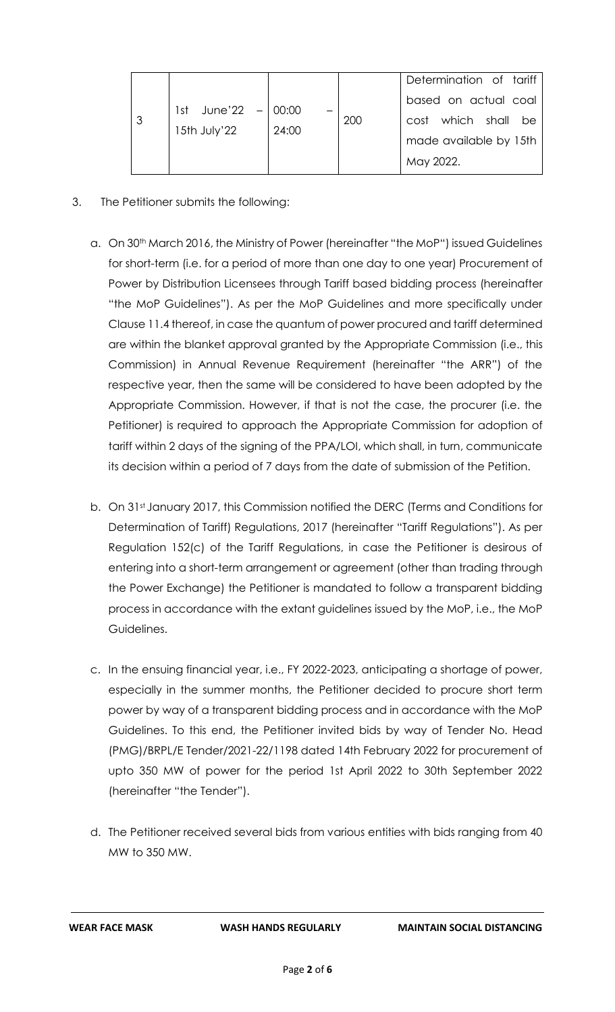| 3 | 1st June'22 $-$ 00:00<br>15th July'22 | 24:00 | 200 | Determination of tariff<br>based on actual coal<br>which shall be<br>cost<br>made available by 15th<br>May 2022. |
|---|---------------------------------------|-------|-----|------------------------------------------------------------------------------------------------------------------|
|---|---------------------------------------|-------|-----|------------------------------------------------------------------------------------------------------------------|

- 3. The Petitioner submits the following:
	- a. On 30<sup>th</sup> March 2016, the Ministry of Power (hereinafter "the MoP") issued Guidelines for short-term (i.e. for a period of more than one day to one year) Procurement of Power by Distribution Licensees through Tariff based bidding process (hereinafter "the MoP Guidelines"). As per the MoP Guidelines and more specifically under Clause 11.4 thereof, in case the quantum of power procured and tariff determined are within the blanket approval granted by the Appropriate Commission (i.e., this Commission) in Annual Revenue Requirement (hereinafter "the ARR") of the respective year, then the same will be considered to have been adopted by the Appropriate Commission. However, if that is not the case, the procurer (i.e. the Petitioner) is required to approach the Appropriate Commission for adoption of tariff within 2 days of the signing of the PPA/LOI, which shall, in turn, communicate its decision within a period of 7 days from the date of submission of the Petition.
	- b. On 31st January 2017, this Commission notified the DERC (Terms and Conditions for Determination of Tariff) Regulations, 2017 (hereinafter "Tariff Regulations"). As per Regulation 152(c) of the Tariff Regulations, in case the Petitioner is desirous of entering into a short-term arrangement or agreement (other than trading through the Power Exchange) the Petitioner is mandated to follow a transparent bidding process in accordance with the extant guidelines issued by the MoP, i.e., the MoP Guidelines.
	- c. In the ensuing financial year, i.e., FY 2022-2023, anticipating a shortage of power, especially in the summer months, the Petitioner decided to procure short term power by way of a transparent bidding process and in accordance with the MoP Guidelines. To this end, the Petitioner invited bids by way of Tender No. Head (PMG)/BRPL/E Tender/2021-22/1198 dated 14th February 2022 for procurement of upto 350 MW of power for the period 1st April 2022 to 30th September 2022 (hereinafter "the Tender").
	- d. The Petitioner received several bids from various entities with bids ranging from 40 MW to 350 MW.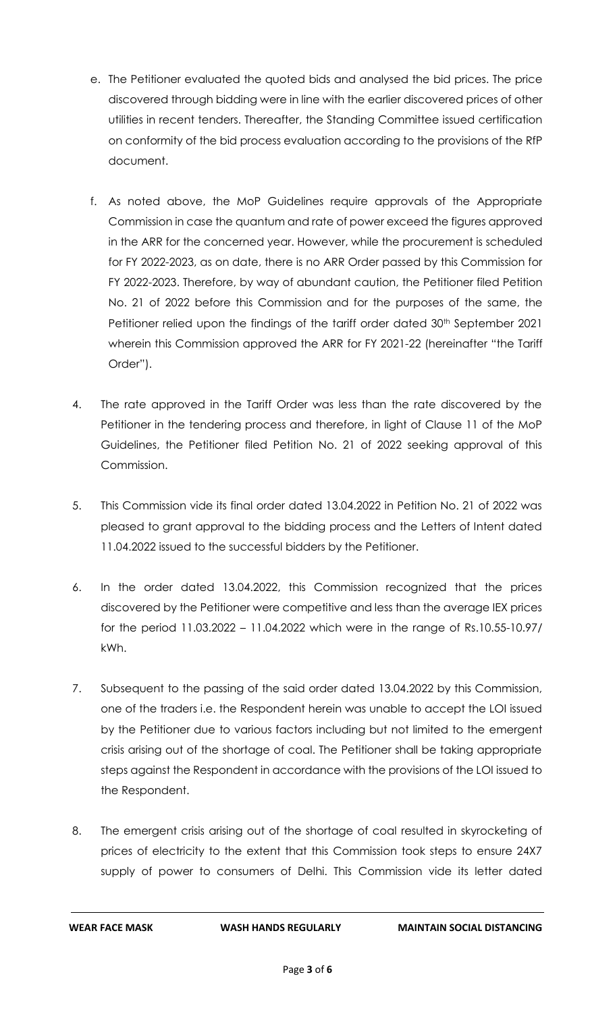- e. The Petitioner evaluated the quoted bids and analysed the bid prices. The price discovered through bidding were in line with the earlier discovered prices of other utilities in recent tenders. Thereafter, the Standing Committee issued certification on conformity of the bid process evaluation according to the provisions of the RfP document.
- f. As noted above, the MoP Guidelines require approvals of the Appropriate Commission in case the quantum and rate of power exceed the figures approved in the ARR for the concerned year. However, while the procurement is scheduled for FY 2022-2023, as on date, there is no ARR Order passed by this Commission for FY 2022-2023. Therefore, by way of abundant caution, the Petitioner filed Petition No. 21 of 2022 before this Commission and for the purposes of the same, the Petitioner relied upon the findings of the tariff order dated 30<sup>th</sup> September 2021 wherein this Commission approved the ARR for FY 2021-22 (hereinafter "the Tariff Order").
- 4. The rate approved in the Tariff Order was less than the rate discovered by the Petitioner in the tendering process and therefore, in light of Clause 11 of the MoP Guidelines, the Petitioner filed Petition No. 21 of 2022 seeking approval of this Commission.
- 5. This Commission vide its final order dated 13.04.2022 in Petition No. 21 of 2022 was pleased to grant approval to the bidding process and the Letters of Intent dated 11.04.2022 issued to the successful bidders by the Petitioner.
- 6. In the order dated 13.04.2022, this Commission recognized that the prices discovered by the Petitioner were competitive and less than the average IEX prices for the period 11.03.2022 – 11.04.2022 which were in the range of Rs.10.55-10.97/ kWh.
- 7. Subsequent to the passing of the said order dated 13.04.2022 by this Commission, one of the traders i.e. the Respondent herein was unable to accept the LOI issued by the Petitioner due to various factors including but not limited to the emergent crisis arising out of the shortage of coal. The Petitioner shall be taking appropriate steps against the Respondent in accordance with the provisions of the LOI issued to the Respondent.
- 8. The emergent crisis arising out of the shortage of coal resulted in skyrocketing of prices of electricity to the extent that this Commission took steps to ensure 24X7 supply of power to consumers of Delhi. This Commission vide its letter dated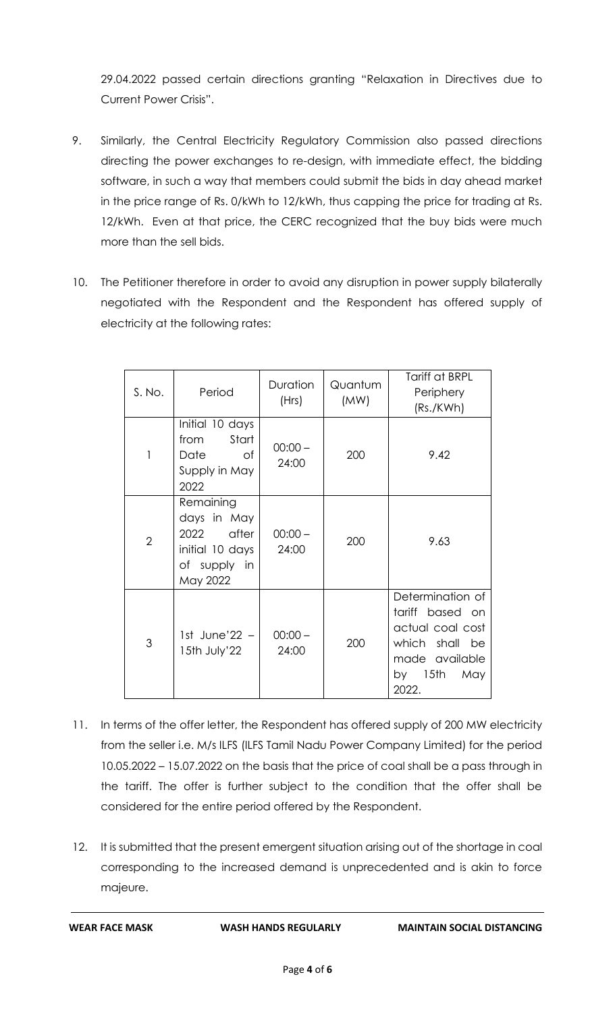29.04.2022 passed certain directions granting "Relaxation in Directives due to Current Power Crisis".

- 9. Similarly, the Central Electricity Regulatory Commission also passed directions directing the power exchanges to re-design, with immediate effect, the bidding software, in such a way that members could submit the bids in day ahead market in the price range of Rs. 0/kWh to 12/kWh, thus capping the price for trading at Rs. 12/kWh. Even at that price, the CERC recognized that the buy bids were much more than the sell bids.
- 10. The Petitioner therefore in order to avoid any disruption in power supply bilaterally negotiated with the Respondent and the Respondent has offered supply of electricity at the following rates:

| S. No.         | Period                                                                                   | Duration<br>(Hrs)  | Quantum<br>(MW) | Tariff at BRPL<br>Periphery<br>(Rs./KWh)                                                                               |
|----------------|------------------------------------------------------------------------------------------|--------------------|-----------------|------------------------------------------------------------------------------------------------------------------------|
| 1              | Initial 10 days<br>Start<br>from<br>Date<br>of<br>Supply in May<br>2022                  | $00:00 -$<br>24:00 | 200             | 9.42                                                                                                                   |
| $\overline{2}$ | Remaining<br>days in May<br>after<br>2022<br>initial 10 days<br>of supply in<br>May 2022 | $00:00 -$<br>24:00 | 200             | 9.63                                                                                                                   |
| 3              | 1st June'22 $-$<br>15th July'22                                                          | $00:00 -$<br>24:00 | 200             | Determination of<br>tariff based on<br>actual coal cost<br>which shall be<br>made available<br>by 15th<br>May<br>2022. |

- 11. In terms of the offer letter, the Respondent has offered supply of 200 MW electricity from the seller i.e. M/s ILFS (ILFS Tamil Nadu Power Company Limited) for the period 10.05.2022 – 15.07.2022 on the basis that the price of coal shall be a pass through in the tariff. The offer is further subject to the condition that the offer shall be considered for the entire period offered by the Respondent.
- 12. It is submitted that the present emergent situation arising out of the shortage in coal corresponding to the increased demand is unprecedented and is akin to force majeure.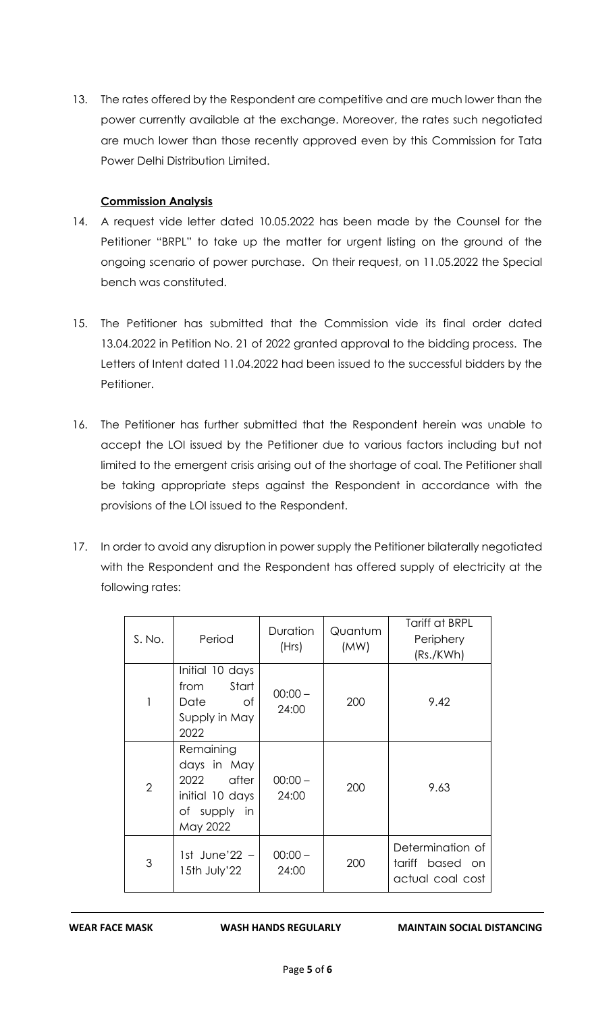13. The rates offered by the Respondent are competitive and are much lower than the power currently available at the exchange. Moreover, the rates such negotiated are much lower than those recently approved even by this Commission for Tata Power Delhi Distribution Limited.

## **Commission Analysis**

- 14. A request vide letter dated 10.05.2022 has been made by the Counsel for the Petitioner "BRPL" to take up the matter for urgent listing on the ground of the ongoing scenario of power purchase. On their request, on 11.05.2022 the Special bench was constituted.
- 15. The Petitioner has submitted that the Commission vide its final order dated 13.04.2022 in Petition No. 21 of 2022 granted approval to the bidding process. The Letters of Intent dated 11.04.2022 had been issued to the successful bidders by the Petitioner.
- 16. The Petitioner has further submitted that the Respondent herein was unable to accept the LOI issued by the Petitioner due to various factors including but not limited to the emergent crisis arising out of the shortage of coal. The Petitioner shall be taking appropriate steps against the Respondent in accordance with the provisions of the LOI issued to the Respondent.
- 17. In order to avoid any disruption in power supply the Petitioner bilaterally negotiated with the Respondent and the Respondent has offered supply of electricity at the following rates:

| S. No.         | Period                                                                                   | <b>Duration</b><br>(Hrs) | Quantum<br>(MW) | Tariff at BRPL<br>Periphery<br>(Rs./KWh)                |
|----------------|------------------------------------------------------------------------------------------|--------------------------|-----------------|---------------------------------------------------------|
| 1              | Initial 10 days<br>Start<br>from<br>of<br>Date<br>Supply in May<br>2022                  | $-00:00 -$<br>24:00      | 200             | 9.42                                                    |
| $\overline{2}$ | Remaining<br>days in May<br>2022<br>after<br>initial 10 days<br>of supply in<br>May 2022 | $00:00 -$<br>24:00       | 200             | 9.63                                                    |
| 3              | 1st June'22 -<br>15th July'22                                                            | $00:00 -$<br>24:00       | 200             | Determination of<br>tariff based on<br>actual coal cost |